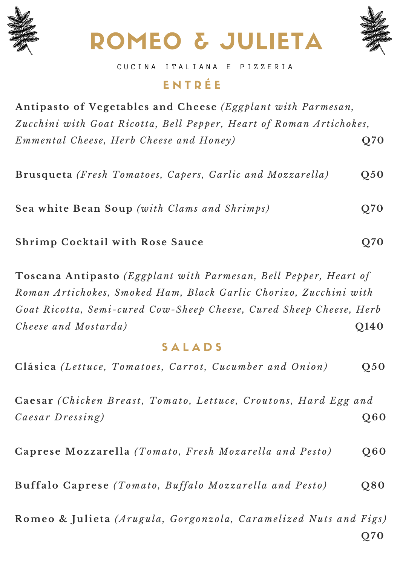





Q70

#### CUCINA ITALIANA E PIZZERIA

#### ENTRÉE

Antipasto of Vegetables and Cheese (Eggplant with Parmesan, Zucchini with Goat Ricotta, Bell Pepper, Heart of Roman Artichokes, Emmental Cheese, Herb Cheese and Honey)  $Q70$ 

Brusqueta (Fresh Tomatoes, Capers, Garlic and Mozzarella)  $Q<sub>50</sub>$ 

Sea white Bean Soup (with Clams and Shrimps) **O70** 

Shrimp Cocktail with Rose Sauce

Toscana Antipasto (Eggplant with Parmesan, Bell Pepper, Heart of Roman Artichokes, Smoked Ham, Black Garlic Chorizo, Zucchini with Goat Ricotta, Semi-cured Cow-Sheep Cheese, Cured Sheep Cheese, Herb Cheese and Mostarda) O140

#### SALADS

Clásica (Lettuce, Tomatoes, Carrot, Cucumber and Onion)  $Q<sub>50</sub>$ 

Caesar (Chicken Breast, Tomato, Lettuce, Croutons, Hard Egg and Caesar Dressing)  $Q60$ 

Caprese Mozzarella (Tomato, Fresh Mozarella and Pesto) **Q60** 

Buffalo Caprese (Tomato, Buffalo Mozzarella and Pesto)  $Q80$ 

Romeo & Julieta (Arugula, Gorgonzola, Caramelized Nuts and Figs)

Q70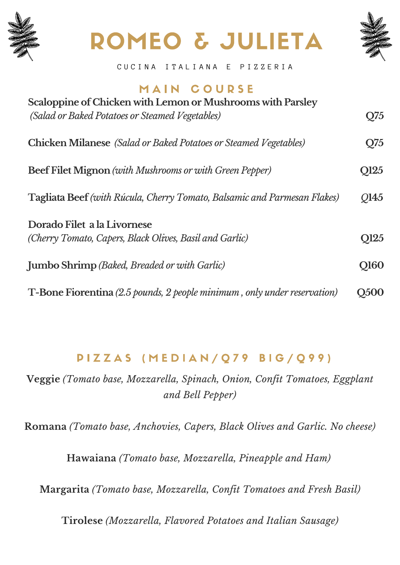

## ROMEO & JULIETA



CUCINA I TALIANA E PIZZERIA

## MAIN COURSE

| Scaloppine of Chicken with Lemon or Mushrooms with Parsley<br>(Salad or Baked Potatoes or Steamed Vegetables) | Q75             |
|---------------------------------------------------------------------------------------------------------------|-----------------|
| <b>Chicken Milanese</b> (Salad or Baked Potatoes or Steamed Vegetables)                                       | O <sub>75</sub> |
| Beef Filet Mignon (with Mushrooms or with Green Pepper)                                                       | Q125            |
| Tagliata Beef (with Rúcula, Cherry Tomato, Balsamic and Parmesan Flakes)                                      | 0145            |
| Dorado Filet a la Livornese<br>(Cherry Tomato, Capers, Black Olives, Basil and Garlic)                        | Q125            |
| Jumbo Shrimp (Baked, Breaded or with Garlic)                                                                  | <b>O160</b>     |
| T-Bone Fiorentina (2.5 pounds, 2 people minimum, only under reservation)                                      | <b>O500</b>     |

## PIZZAS (MEDIAN/Q79 BIG/Q99)

**Veggie** *(Tomato base, Mozzarella, Spinach, Onion, Confit Tomatoes, Eggplant and Bell Pepper)*

**Romana** *(Tomato base, Anchovies, Capers, Black Olives and Garlic. No cheese)*

**Hawaiana** *(Tomato base, Mozzarella, Pineapple and Ham)*

**Margarita** *(Tomato base, Mozzarella, Confit Tomatoes and Fresh Basil)*

**Tirolese** *(Mozzarella, Flavored Potatoes and Italian Sausage)*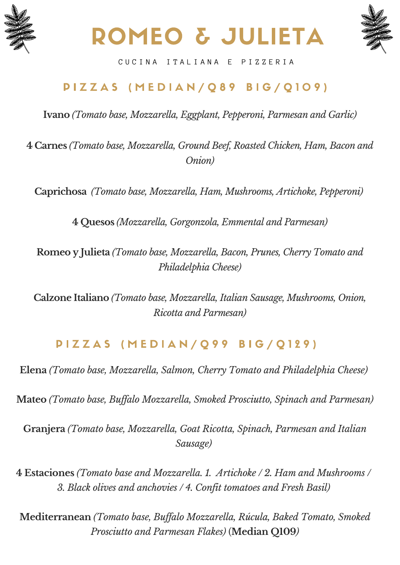





CUCINA ITALIANA E PIZZERIA

## PIZZAS (MEDIAN/Q89 BIG/Q109)

**Ivano** *(Tomato base, Mozzarella, Eggplant, Pepperoni, Parmesan and Garlic)*

**4 Carnes** *(Tomato base, Mozzarella, Ground Beef, Roasted Chicken, Ham, Bacon and Onion)*

**Caprichosa** *(Tomato base, Mozzarella, Ham, Mushrooms, Artichoke, Pepperoni)*

**4 Quesos** *(Mozzarella, Gorgonzola, Emmental and Parmesan)*

**Romeo y Julieta** *(Tomato base, Mozzarella, Bacon, Prunes, Cherry Tomato and Philadelphia Cheese)*

**Calzone Italiano** *(Tomato base, Mozzarella, Italian Sausage, Mushrooms, Onion, Ricotta and Parmesan)*

## PIZZAS (MEDIAN/Q99 BIG/Q129)

**Elena** *(Tomato base, Mozzarella, Salmon, Cherry Tomato and Philadelphia Cheese)*

**Mateo** *(Tomato base, Buffalo Mozzarella, Smoked Prosciutto, Spinach and Parmesan)*

**Granjera** *(Tomato base, Mozzarella, Goat Ricotta, Spinach, Parmesan and Italian Sausage)*

**4 Estaciones** *(Tomato base and Mozzarella. 1. Artichoke / 2. Ham and Mushrooms / 3. Black olives and anchovies / 4. Confit tomatoes and Fresh Basil)*

**Mediterranean** *(Tomato base, Buffalo Mozzarella, Rúcula, Baked Tomato, Smoked Prosciutto and Parmesan Flakes)* (**Median Q109***)*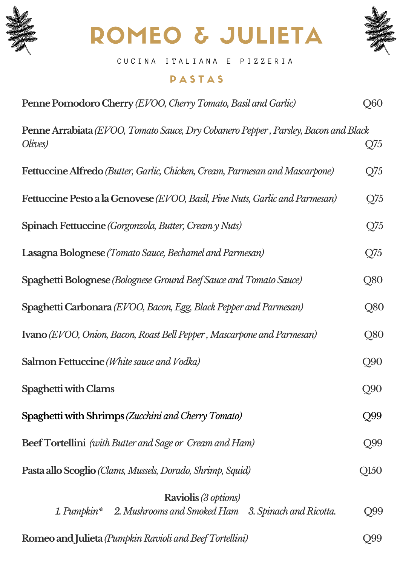

# ROMEO & JULIETA



C U C I N A I T A L I A N A E P I Z Z E R I A

#### **PASTAS**

| Penne Pomodoro Cherry (EVOO, Cherry Tomato, Basil and Garlic)                                        | Q60       |
|------------------------------------------------------------------------------------------------------|-----------|
| <b>Penne Arrabiata</b> (EVOO, Tomato Sauce, Dry Cobanero Pepper, Parsley, Bacon and Black<br>Olives) | Q75       |
| <b>Fettuccine Alfredo</b> (Butter, Garlic, Chicken, Cream, Parmesan and Mascarpone)                  | Q75       |
| <b>Fettuccine Pesto a la Genovese</b> (EVOO, Basil, Pine Nuts, Garlic and Parmesan)                  | Q75       |
| Spinach Fettuccine (Gorgonzola, Butter, Cream y Nuts)                                                | $Q_{7}$ 5 |
| <b>Lasagna Bolognese</b> (Tomato Sauce, Bechamel and Parmesan)                                       | Q75       |
| <b>Spaghetti Bolognese</b> (Bolognese Ground Beef Sauce and Tomato Sauce)                            | Q80       |
| Spaghetti Carbonara (EVOO, Bacon, Egg, Black Pepper and Parmesan)                                    | Q80       |
| <b>Ivano</b> (EVOO, Onion, Bacon, Roast Bell Pepper, Mascarpone and Parmesan)                        | Q80       |
| <b>Salmon Fettuccine</b> ( <i>White sauce and Vodka</i> )                                            | Q90       |
| Spaghetti with Clams                                                                                 | Q90       |
| Spaghetti with Shrimps (Zucchini and Cherry Tomato)                                                  | Q99       |
| <b>Beef Tortellini</b> (with Butter and Sage or Cream and Ham)                                       | Q99       |
| Pasta allo Scoglio (Clams, Mussels, Dorado, Shrimp, Squid)                                           | Q150      |
| <b>Raviolis</b> (3 options)<br>1. Pumpkin* 2. Mushrooms and Smoked Ham 3. Spinach and Ricotta.       | Q99       |
| Romeo and Julieta (Pumpkin Ravioli and Beef Tortellini)                                              | Q99       |